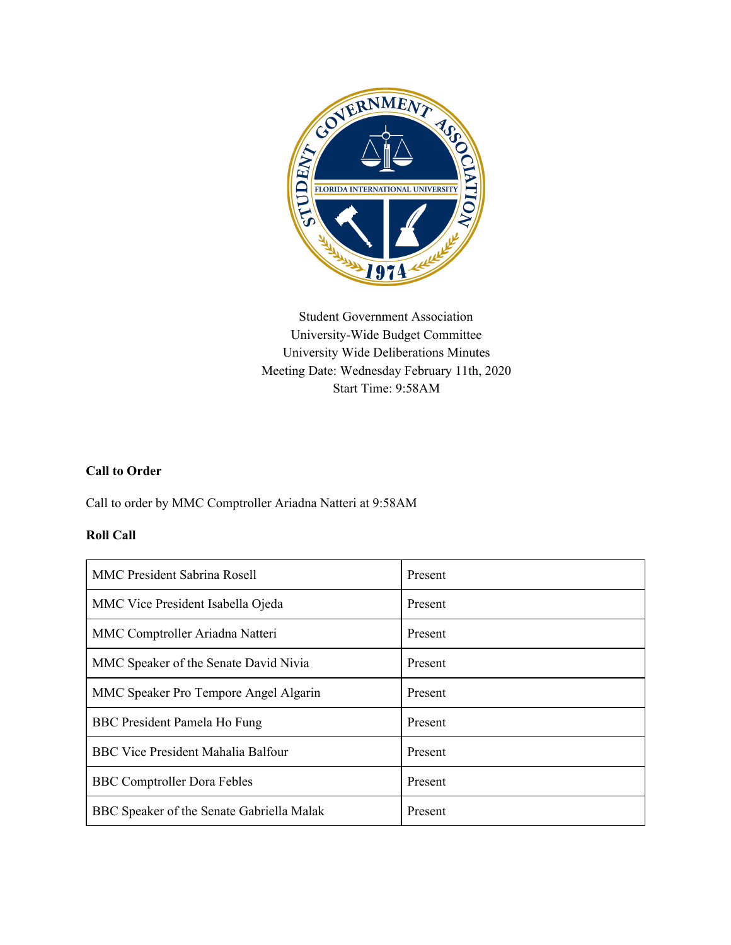

Student Government Association University-Wide Budget Committee University Wide Deliberations Minutes Meeting Date: Wednesday February 11th, 2020 Start Time: 9:58AM

## **Call to Order**

Call to order by MMC Comptroller Ariadna Natteri at 9:58AM

#### **Roll Call**

| <b>MMC President Sabrina Rosell</b>       | Present |
|-------------------------------------------|---------|
| MMC Vice President Isabella Ojeda         | Present |
| MMC Comptroller Ariadna Natteri           | Present |
| MMC Speaker of the Senate David Nivia     | Present |
| MMC Speaker Pro Tempore Angel Algarin     | Present |
| BBC President Pamela Ho Fung              | Present |
| <b>BBC Vice President Mahalia Balfour</b> | Present |
| <b>BBC</b> Comptroller Dora Febles        | Present |
| BBC Speaker of the Senate Gabriella Malak | Present |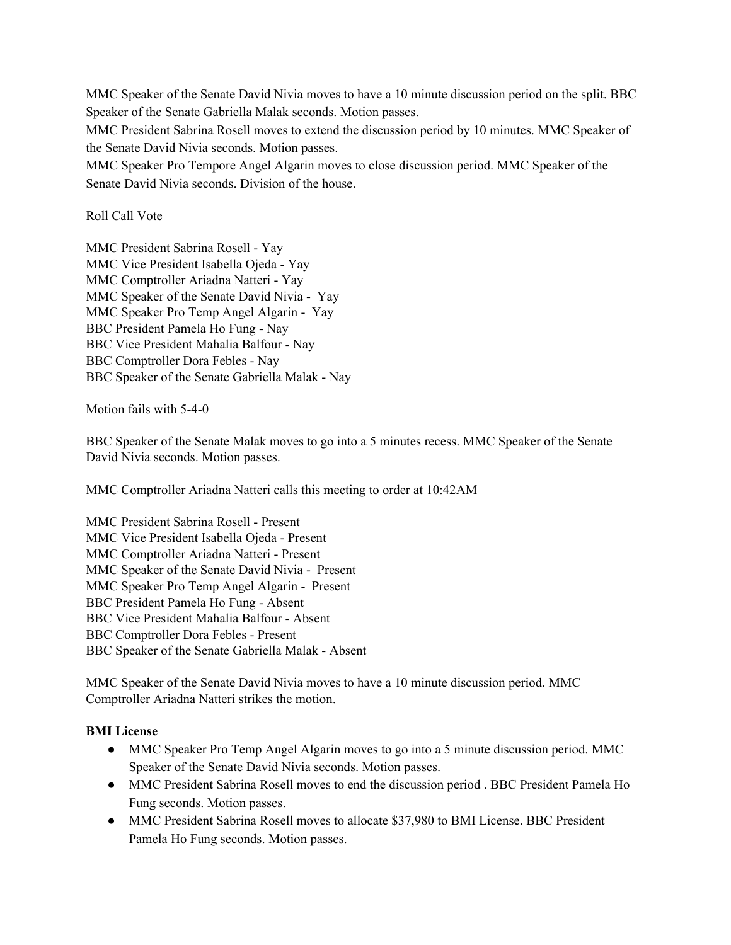MMC Speaker of the Senate David Nivia moves to have a 10 minute discussion period on the split. BBC Speaker of the Senate Gabriella Malak seconds. Motion passes.

MMC President Sabrina Rosell moves to extend the discussion period by 10 minutes. MMC Speaker of the Senate David Nivia seconds. Motion passes.

MMC Speaker Pro Tempore Angel Algarin moves to close discussion period. MMC Speaker of the Senate David Nivia seconds. Division of the house.

## Roll Call Vote

MMC President Sabrina Rosell - Yay MMC Vice President Isabella Ojeda - Yay MMC Comptroller Ariadna Natteri - Yay MMC Speaker of the Senate David Nivia - Yay MMC Speaker Pro Temp Angel Algarin - Yay BBC President Pamela Ho Fung - Nay BBC Vice President Mahalia Balfour - Nay BBC Comptroller Dora Febles - Nay BBC Speaker of the Senate Gabriella Malak - Nay

Motion fails with 5-4-0

BBC Speaker of the Senate Malak moves to go into a 5 minutes recess. MMC Speaker of the Senate David Nivia seconds. Motion passes.

MMC Comptroller Ariadna Natteri calls this meeting to order at 10:42AM

MMC President Sabrina Rosell - Present MMC Vice President Isabella Ojeda - Present MMC Comptroller Ariadna Natteri - Present MMC Speaker of the Senate David Nivia - Present MMC Speaker Pro Temp Angel Algarin - Present BBC President Pamela Ho Fung - Absent BBC Vice President Mahalia Balfour - Absent BBC Comptroller Dora Febles - Present BBC Speaker of the Senate Gabriella Malak - Absent

MMC Speaker of the Senate David Nivia moves to have a 10 minute discussion period. MMC Comptroller Ariadna Natteri strikes the motion.

## **BMI License**

- MMC Speaker Pro Temp Angel Algarin moves to go into a 5 minute discussion period. MMC Speaker of the Senate David Nivia seconds. Motion passes.
- MMC President Sabrina Rosell moves to end the discussion period . BBC President Pamela Ho Fung seconds. Motion passes.
- MMC President Sabrina Rosell moves to allocate \$37,980 to BMI License. BBC President Pamela Ho Fung seconds. Motion passes.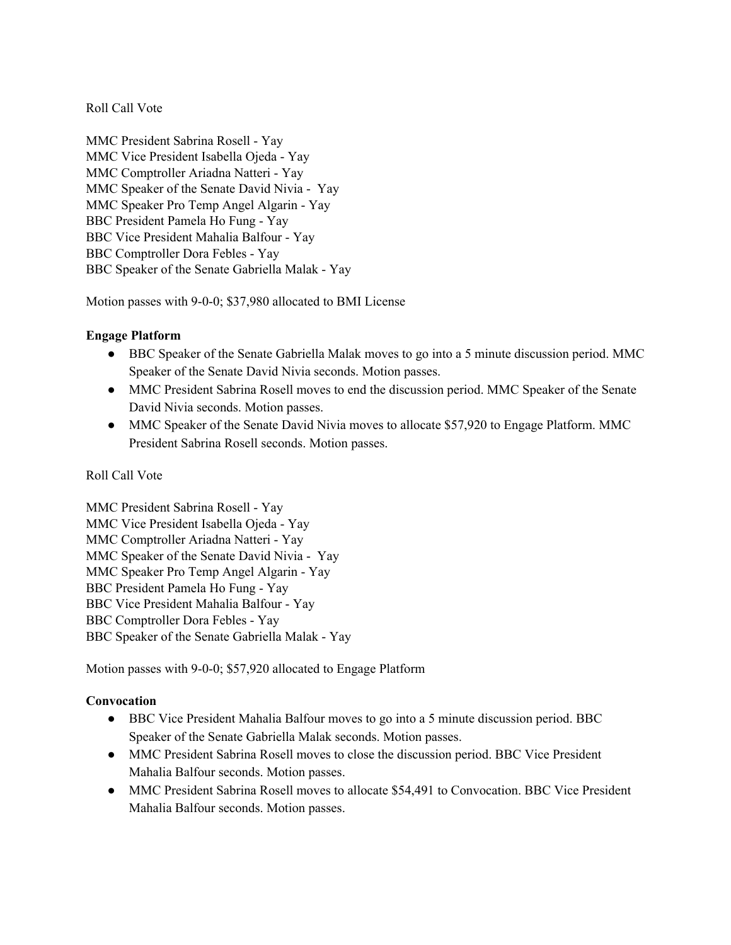## Roll Call Vote

MMC President Sabrina Rosell - Yay MMC Vice President Isabella Ojeda - Yay MMC Comptroller Ariadna Natteri - Yay MMC Speaker of the Senate David Nivia - Yay MMC Speaker Pro Temp Angel Algarin - Yay BBC President Pamela Ho Fung - Yay BBC Vice President Mahalia Balfour - Yay BBC Comptroller Dora Febles - Yay BBC Speaker of the Senate Gabriella Malak - Yay

Motion passes with 9-0-0; \$37,980 allocated to BMI License

#### **Engage Platform**

- BBC Speaker of the Senate Gabriella Malak moves to go into a 5 minute discussion period. MMC Speaker of the Senate David Nivia seconds. Motion passes.
- MMC President Sabrina Rosell moves to end the discussion period. MMC Speaker of the Senate David Nivia seconds. Motion passes.
- MMC Speaker of the Senate David Nivia moves to allocate \$57,920 to Engage Platform. MMC President Sabrina Rosell seconds. Motion passes.

#### Roll Call Vote

MMC President Sabrina Rosell - Yay MMC Vice President Isabella Ojeda - Yay MMC Comptroller Ariadna Natteri - Yay MMC Speaker of the Senate David Nivia - Yay MMC Speaker Pro Temp Angel Algarin - Yay BBC President Pamela Ho Fung - Yay BBC Vice President Mahalia Balfour - Yay BBC Comptroller Dora Febles - Yay BBC Speaker of the Senate Gabriella Malak - Yay

Motion passes with 9-0-0; \$57,920 allocated to Engage Platform

## **Convocation**

- BBC Vice President Mahalia Balfour moves to go into a 5 minute discussion period. BBC Speaker of the Senate Gabriella Malak seconds. Motion passes.
- MMC President Sabrina Rosell moves to close the discussion period. BBC Vice President Mahalia Balfour seconds. Motion passes.
- MMC President Sabrina Rosell moves to allocate \$54,491 to Convocation. BBC Vice President Mahalia Balfour seconds. Motion passes.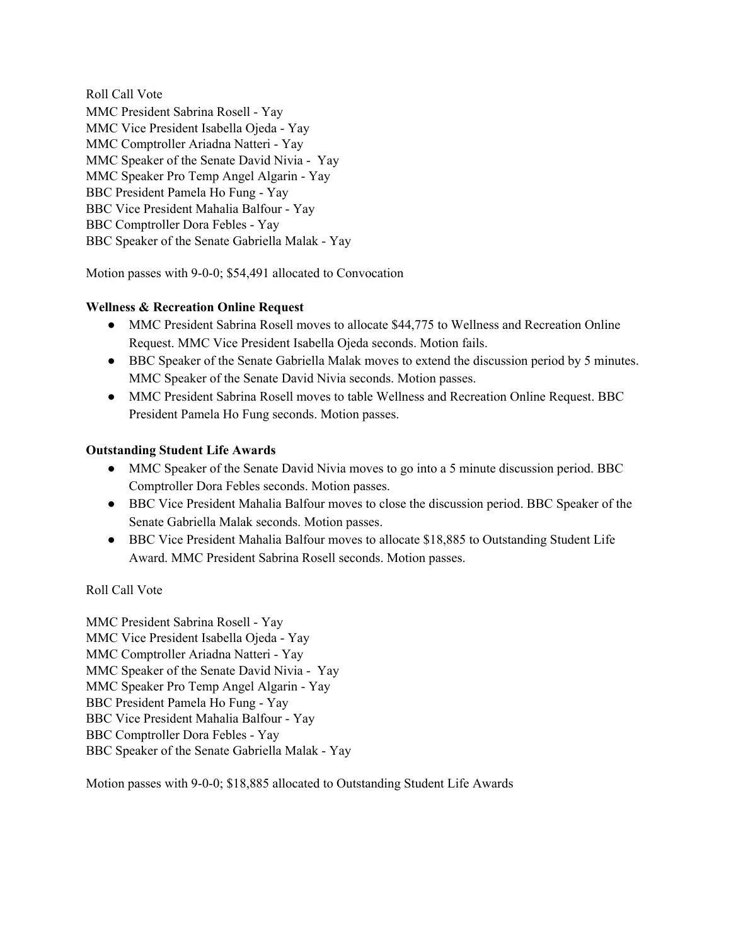Roll Call Vote MMC President Sabrina Rosell - Yay MMC Vice President Isabella Ojeda - Yay MMC Comptroller Ariadna Natteri - Yay MMC Speaker of the Senate David Nivia - Yay MMC Speaker Pro Temp Angel Algarin - Yay BBC President Pamela Ho Fung - Yay BBC Vice President Mahalia Balfour - Yay BBC Comptroller Dora Febles - Yay BBC Speaker of the Senate Gabriella Malak - Yay

Motion passes with 9-0-0; \$54,491 allocated to Convocation

## **Wellness & Recreation Online Request**

- MMC President Sabrina Rosell moves to allocate \$44,775 to Wellness and Recreation Online Request. MMC Vice President Isabella Ojeda seconds. Motion fails.
- BBC Speaker of the Senate Gabriella Malak moves to extend the discussion period by 5 minutes. MMC Speaker of the Senate David Nivia seconds. Motion passes.
- MMC President Sabrina Rosell moves to table Wellness and Recreation Online Request. BBC President Pamela Ho Fung seconds. Motion passes.

## **Outstanding Student Life Awards**

- MMC Speaker of the Senate David Nivia moves to go into a 5 minute discussion period. BBC Comptroller Dora Febles seconds. Motion passes.
- BBC Vice President Mahalia Balfour moves to close the discussion period. BBC Speaker of the Senate Gabriella Malak seconds. Motion passes.
- BBC Vice President Mahalia Balfour moves to allocate \$18,885 to Outstanding Student Life Award. MMC President Sabrina Rosell seconds. Motion passes.

## Roll Call Vote

MMC President Sabrina Rosell - Yay MMC Vice President Isabella Ojeda - Yay MMC Comptroller Ariadna Natteri - Yay MMC Speaker of the Senate David Nivia - Yay MMC Speaker Pro Temp Angel Algarin - Yay BBC President Pamela Ho Fung - Yay BBC Vice President Mahalia Balfour - Yay BBC Comptroller Dora Febles - Yay BBC Speaker of the Senate Gabriella Malak - Yay

Motion passes with 9-0-0; \$18,885 allocated to Outstanding Student Life Awards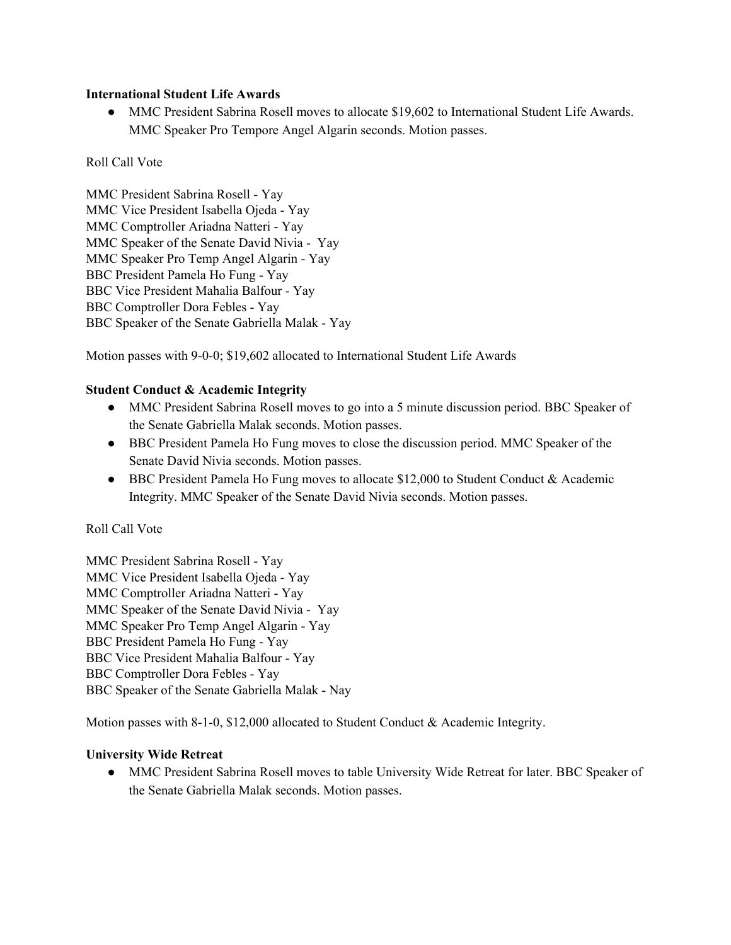#### **International Student Life Awards**

• MMC President Sabrina Rosell moves to allocate \$19,602 to International Student Life Awards. MMC Speaker Pro Tempore Angel Algarin seconds. Motion passes.

## Roll Call Vote

MMC President Sabrina Rosell - Yay MMC Vice President Isabella Ojeda - Yay MMC Comptroller Ariadna Natteri - Yay MMC Speaker of the Senate David Nivia - Yay MMC Speaker Pro Temp Angel Algarin - Yay BBC President Pamela Ho Fung - Yay BBC Vice President Mahalia Balfour - Yay BBC Comptroller Dora Febles - Yay BBC Speaker of the Senate Gabriella Malak - Yay

Motion passes with 9-0-0; \$19,602 allocated to International Student Life Awards

## **Student Conduct & Academic Integrity**

- MMC President Sabrina Rosell moves to go into a 5 minute discussion period. BBC Speaker of the Senate Gabriella Malak seconds. Motion passes.
- BBC President Pamela Ho Fung moves to close the discussion period. MMC Speaker of the Senate David Nivia seconds. Motion passes.
- BBC President Pamela Ho Fung moves to allocate \$12,000 to Student Conduct & Academic Integrity. MMC Speaker of the Senate David Nivia seconds. Motion passes.

## Roll Call Vote

MMC President Sabrina Rosell - Yay MMC Vice President Isabella Ojeda - Yay MMC Comptroller Ariadna Natteri - Yay MMC Speaker of the Senate David Nivia - Yay MMC Speaker Pro Temp Angel Algarin - Yay BBC President Pamela Ho Fung - Yay BBC Vice President Mahalia Balfour - Yay BBC Comptroller Dora Febles - Yay BBC Speaker of the Senate Gabriella Malak - Nay

Motion passes with 8-1-0, \$12,000 allocated to Student Conduct & Academic Integrity.

## **University Wide Retreat**

**●** MMC President Sabrina Rosell moves to table University Wide Retreat for later. BBC Speaker of the Senate Gabriella Malak seconds. Motion passes.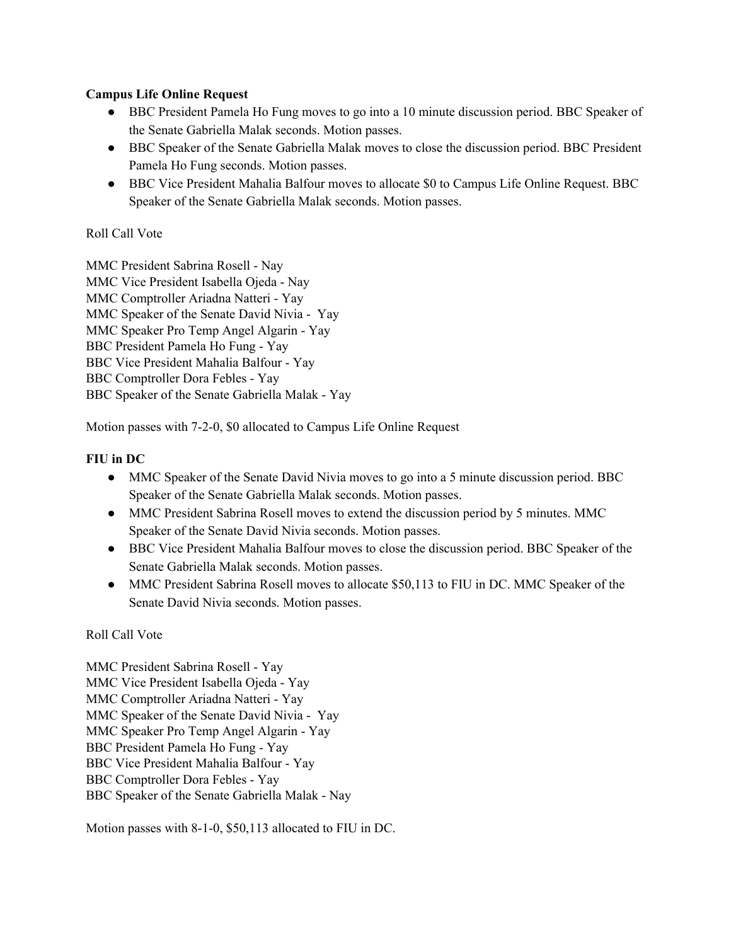## **Campus Life Online Request**

- BBC President Pamela Ho Fung moves to go into a 10 minute discussion period. BBC Speaker of the Senate Gabriella Malak seconds. Motion passes.
- BBC Speaker of the Senate Gabriella Malak moves to close the discussion period. BBC President Pamela Ho Fung seconds. Motion passes.
- BBC Vice President Mahalia Balfour moves to allocate \$0 to Campus Life Online Request. BBC Speaker of the Senate Gabriella Malak seconds. Motion passes.

## Roll Call Vote

MMC President Sabrina Rosell - Nay MMC Vice President Isabella Ojeda - Nay MMC Comptroller Ariadna Natteri - Yay MMC Speaker of the Senate David Nivia - Yay MMC Speaker Pro Temp Angel Algarin - Yay BBC President Pamela Ho Fung - Yay BBC Vice President Mahalia Balfour - Yay BBC Comptroller Dora Febles - Yay BBC Speaker of the Senate Gabriella Malak - Yay

Motion passes with 7-2-0, \$0 allocated to Campus Life Online Request

## **FIU in DC**

- MMC Speaker of the Senate David Nivia moves to go into a 5 minute discussion period. BBC Speaker of the Senate Gabriella Malak seconds. Motion passes.
- MMC President Sabrina Rosell moves to extend the discussion period by 5 minutes. MMC Speaker of the Senate David Nivia seconds. Motion passes.
- BBC Vice President Mahalia Balfour moves to close the discussion period. BBC Speaker of the Senate Gabriella Malak seconds. Motion passes.
- MMC President Sabrina Rosell moves to allocate \$50,113 to FIU in DC. MMC Speaker of the Senate David Nivia seconds. Motion passes.

## Roll Call Vote

MMC President Sabrina Rosell - Yay MMC Vice President Isabella Ojeda - Yay MMC Comptroller Ariadna Natteri - Yay MMC Speaker of the Senate David Nivia - Yay MMC Speaker Pro Temp Angel Algarin - Yay BBC President Pamela Ho Fung - Yay BBC Vice President Mahalia Balfour - Yay BBC Comptroller Dora Febles - Yay BBC Speaker of the Senate Gabriella Malak - Nay

Motion passes with 8-1-0, \$50,113 allocated to FIU in DC.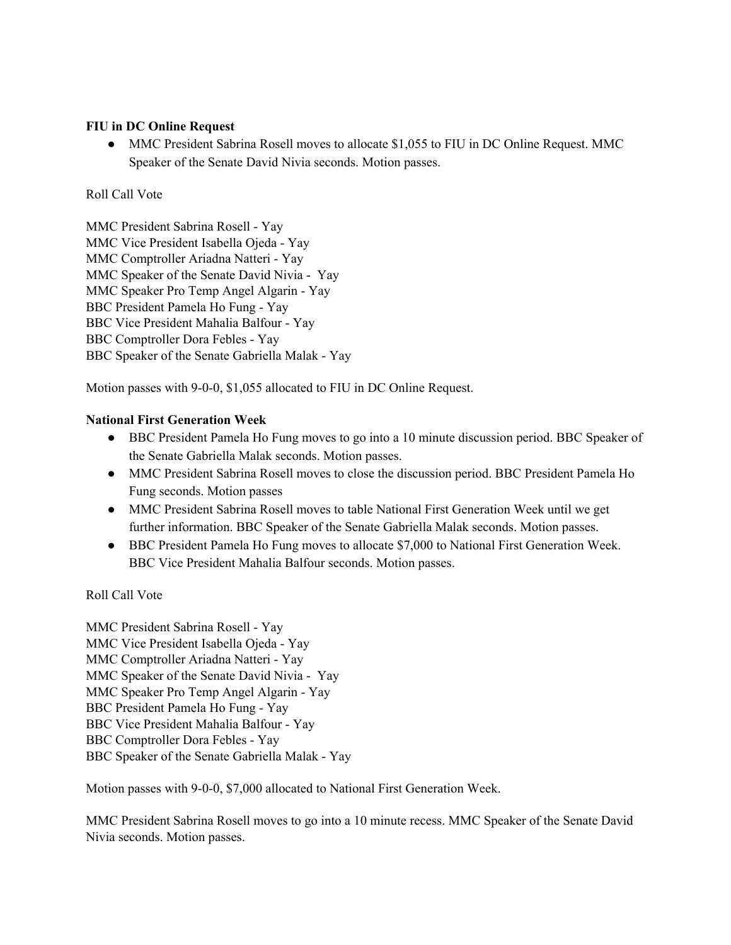#### **FIU in DC Online Request**

• MMC President Sabrina Rosell moves to allocate \$1,055 to FIU in DC Online Request. MMC Speaker of the Senate David Nivia seconds. Motion passes.

#### Roll Call Vote

MMC President Sabrina Rosell - Yay MMC Vice President Isabella Ojeda - Yay MMC Comptroller Ariadna Natteri - Yay MMC Speaker of the Senate David Nivia - Yay MMC Speaker Pro Temp Angel Algarin - Yay BBC President Pamela Ho Fung - Yay BBC Vice President Mahalia Balfour - Yay BBC Comptroller Dora Febles - Yay BBC Speaker of the Senate Gabriella Malak - Yay

Motion passes with 9-0-0, \$1,055 allocated to FIU in DC Online Request.

## **National First Generation Week**

- BBC President Pamela Ho Fung moves to go into a 10 minute discussion period. BBC Speaker of the Senate Gabriella Malak seconds. Motion passes.
- MMC President Sabrina Rosell moves to close the discussion period. BBC President Pamela Ho Fung seconds. Motion passes
- MMC President Sabrina Rosell moves to table National First Generation Week until we get further information. BBC Speaker of the Senate Gabriella Malak seconds. Motion passes.
- BBC President Pamela Ho Fung moves to allocate \$7,000 to National First Generation Week. BBC Vice President Mahalia Balfour seconds. Motion passes.

#### Roll Call Vote

MMC President Sabrina Rosell - Yay MMC Vice President Isabella Ojeda - Yay MMC Comptroller Ariadna Natteri - Yay MMC Speaker of the Senate David Nivia - Yay MMC Speaker Pro Temp Angel Algarin - Yay BBC President Pamela Ho Fung - Yay BBC Vice President Mahalia Balfour - Yay BBC Comptroller Dora Febles - Yay BBC Speaker of the Senate Gabriella Malak - Yay

Motion passes with 9-0-0, \$7,000 allocated to National First Generation Week.

MMC President Sabrina Rosell moves to go into a 10 minute recess. MMC Speaker of the Senate David Nivia seconds. Motion passes.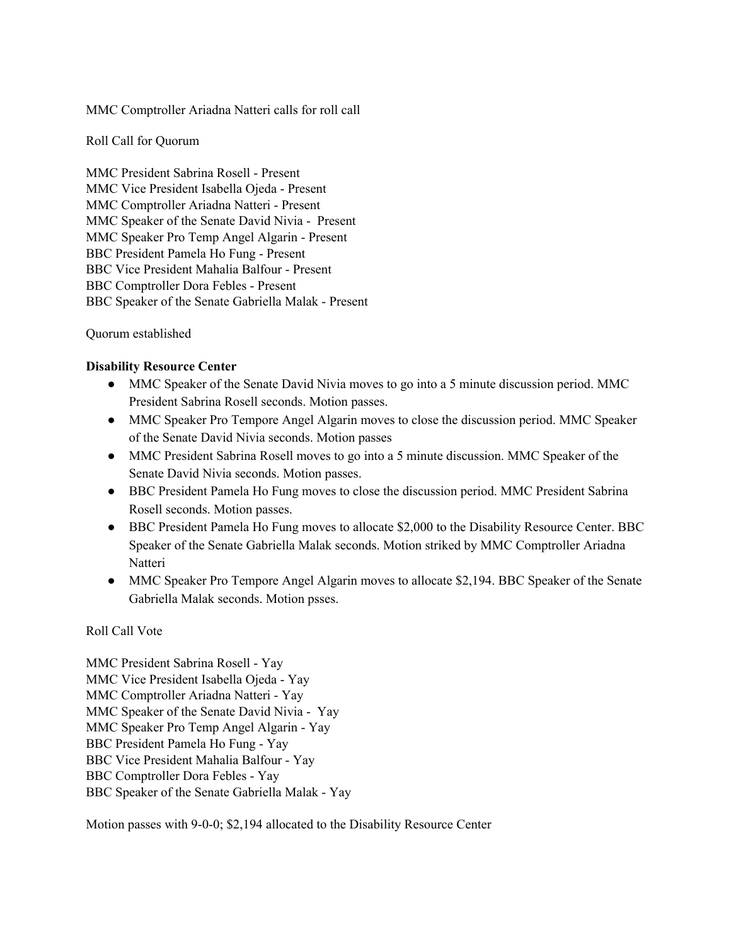#### MMC Comptroller Ariadna Natteri calls for roll call

Roll Call for Quorum

MMC President Sabrina Rosell - Present MMC Vice President Isabella Ojeda - Present MMC Comptroller Ariadna Natteri - Present MMC Speaker of the Senate David Nivia - Present MMC Speaker Pro Temp Angel Algarin - Present BBC President Pamela Ho Fung - Present BBC Vice President Mahalia Balfour - Present BBC Comptroller Dora Febles - Present BBC Speaker of the Senate Gabriella Malak - Present

#### Quorum established

#### **Disability Resource Center**

- MMC Speaker of the Senate David Nivia moves to go into a 5 minute discussion period. MMC President Sabrina Rosell seconds. Motion passes.
- MMC Speaker Pro Tempore Angel Algarin moves to close the discussion period. MMC Speaker of the Senate David Nivia seconds. Motion passes
- MMC President Sabrina Rosell moves to go into a 5 minute discussion. MMC Speaker of the Senate David Nivia seconds. Motion passes.
- BBC President Pamela Ho Fung moves to close the discussion period. MMC President Sabrina Rosell seconds. Motion passes.
- BBC President Pamela Ho Fung moves to allocate \$2,000 to the Disability Resource Center. BBC Speaker of the Senate Gabriella Malak seconds. Motion striked by MMC Comptroller Ariadna **Natteri**
- MMC Speaker Pro Tempore Angel Algarin moves to allocate \$2,194. BBC Speaker of the Senate Gabriella Malak seconds. Motion psses.

#### Roll Call Vote

MMC President Sabrina Rosell - Yay MMC Vice President Isabella Ojeda - Yay MMC Comptroller Ariadna Natteri - Yay MMC Speaker of the Senate David Nivia - Yay MMC Speaker Pro Temp Angel Algarin - Yay BBC President Pamela Ho Fung - Yay BBC Vice President Mahalia Balfour - Yay BBC Comptroller Dora Febles - Yay BBC Speaker of the Senate Gabriella Malak - Yay

Motion passes with 9-0-0; \$2,194 allocated to the Disability Resource Center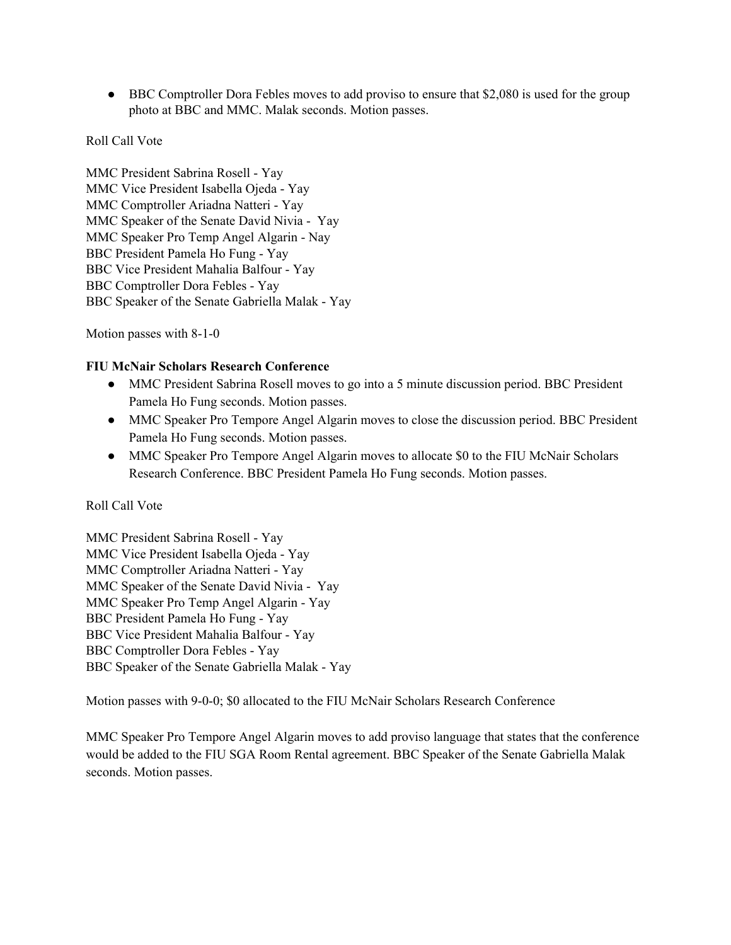• BBC Comptroller Dora Febles moves to add proviso to ensure that \$2,080 is used for the group photo at BBC and MMC. Malak seconds. Motion passes.

## Roll Call Vote

MMC President Sabrina Rosell - Yay MMC Vice President Isabella Ojeda - Yay MMC Comptroller Ariadna Natteri - Yay MMC Speaker of the Senate David Nivia - Yay MMC Speaker Pro Temp Angel Algarin - Nay BBC President Pamela Ho Fung - Yay BBC Vice President Mahalia Balfour - Yay BBC Comptroller Dora Febles - Yay BBC Speaker of the Senate Gabriella Malak - Yay

Motion passes with 8-1-0

#### **FIU McNair Scholars Research Conference**

- MMC President Sabrina Rosell moves to go into a 5 minute discussion period. BBC President Pamela Ho Fung seconds. Motion passes.
- MMC Speaker Pro Tempore Angel Algarin moves to close the discussion period. BBC President Pamela Ho Fung seconds. Motion passes.
- MMC Speaker Pro Tempore Angel Algarin moves to allocate \$0 to the FIU McNair Scholars Research Conference. BBC President Pamela Ho Fung seconds. Motion passes.

## Roll Call Vote

MMC President Sabrina Rosell - Yay MMC Vice President Isabella Ojeda - Yay MMC Comptroller Ariadna Natteri - Yay MMC Speaker of the Senate David Nivia - Yay MMC Speaker Pro Temp Angel Algarin - Yay BBC President Pamela Ho Fung - Yay BBC Vice President Mahalia Balfour - Yay BBC Comptroller Dora Febles - Yay BBC Speaker of the Senate Gabriella Malak - Yay

Motion passes with 9-0-0; \$0 allocated to the FIU McNair Scholars Research Conference

MMC Speaker Pro Tempore Angel Algarin moves to add proviso language that states that the conference would be added to the FIU SGA Room Rental agreement. BBC Speaker of the Senate Gabriella Malak seconds. Motion passes.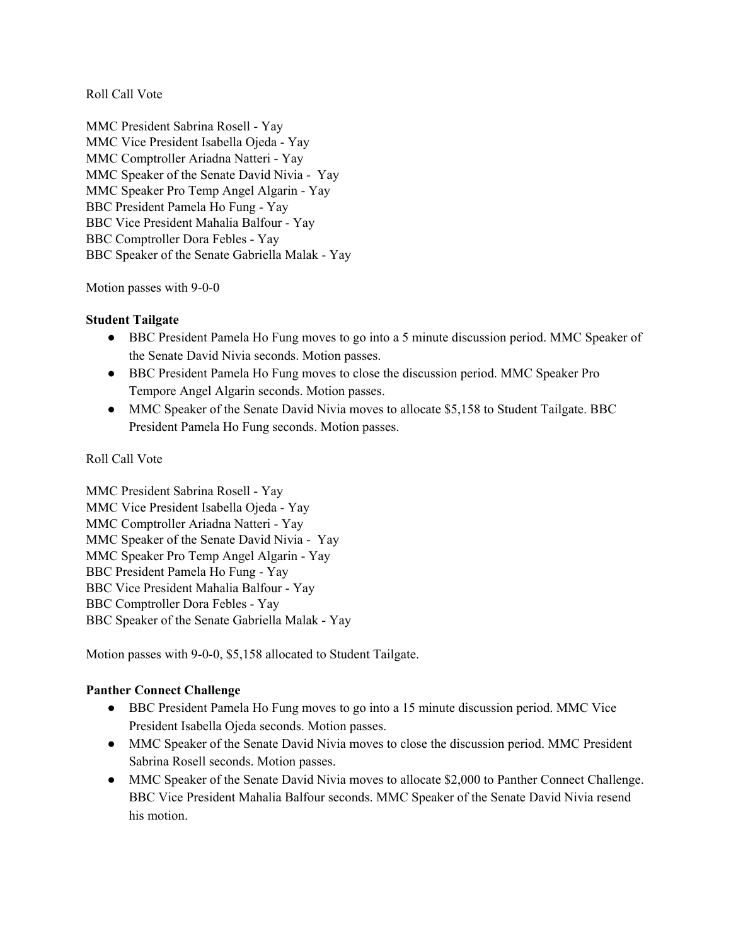Roll Call Vote

MMC President Sabrina Rosell - Yay MMC Vice President Isabella Ojeda - Yay MMC Comptroller Ariadna Natteri - Yay MMC Speaker of the Senate David Nivia - Yay MMC Speaker Pro Temp Angel Algarin - Yay BBC President Pamela Ho Fung - Yay BBC Vice President Mahalia Balfour - Yay BBC Comptroller Dora Febles - Yay BBC Speaker of the Senate Gabriella Malak - Yay

Motion passes with 9-0-0

## **Student Tailgate**

- BBC President Pamela Ho Fung moves to go into a 5 minute discussion period. MMC Speaker of the Senate David Nivia seconds. Motion passes.
- BBC President Pamela Ho Fung moves to close the discussion period. MMC Speaker Pro Tempore Angel Algarin seconds. Motion passes.
- MMC Speaker of the Senate David Nivia moves to allocate \$5,158 to Student Tailgate. BBC President Pamela Ho Fung seconds. Motion passes.

## Roll Call Vote

MMC President Sabrina Rosell - Yay MMC Vice President Isabella Ojeda - Yay MMC Comptroller Ariadna Natteri - Yay MMC Speaker of the Senate David Nivia - Yay MMC Speaker Pro Temp Angel Algarin - Yay BBC President Pamela Ho Fung - Yay BBC Vice President Mahalia Balfour - Yay BBC Comptroller Dora Febles - Yay BBC Speaker of the Senate Gabriella Malak - Yay

Motion passes with 9-0-0, \$5,158 allocated to Student Tailgate.

## **Panther Connect Challenge**

- BBC President Pamela Ho Fung moves to go into a 15 minute discussion period. MMC Vice President Isabella Ojeda seconds. Motion passes.
- MMC Speaker of the Senate David Nivia moves to close the discussion period. MMC President Sabrina Rosell seconds. Motion passes.
- MMC Speaker of the Senate David Nivia moves to allocate \$2,000 to Panther Connect Challenge. BBC Vice President Mahalia Balfour seconds. MMC Speaker of the Senate David Nivia resend his motion.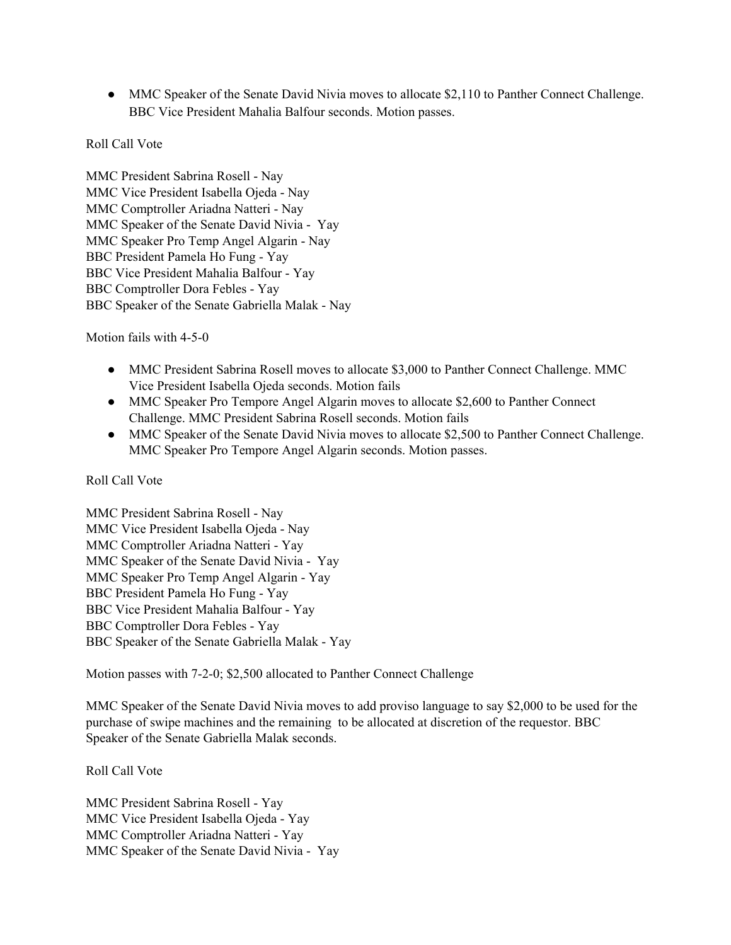• MMC Speaker of the Senate David Nivia moves to allocate \$2,110 to Panther Connect Challenge. BBC Vice President Mahalia Balfour seconds. Motion passes.

## Roll Call Vote

MMC President Sabrina Rosell - Nay MMC Vice President Isabella Ojeda - Nay MMC Comptroller Ariadna Natteri - Nay MMC Speaker of the Senate David Nivia - Yay MMC Speaker Pro Temp Angel Algarin - Nay BBC President Pamela Ho Fung - Yay BBC Vice President Mahalia Balfour - Yay BBC Comptroller Dora Febles - Yay BBC Speaker of the Senate Gabriella Malak - Nay

Motion fails with 4-5-0

- MMC President Sabrina Rosell moves to allocate \$3,000 to Panther Connect Challenge. MMC Vice President Isabella Ojeda seconds. Motion fails
- MMC Speaker Pro Tempore Angel Algarin moves to allocate \$2,600 to Panther Connect Challenge. MMC President Sabrina Rosell seconds. Motion fails
- MMC Speaker of the Senate David Nivia moves to allocate \$2,500 to Panther Connect Challenge. MMC Speaker Pro Tempore Angel Algarin seconds. Motion passes.

## Roll Call Vote

MMC President Sabrina Rosell - Nay MMC Vice President Isabella Ojeda - Nay MMC Comptroller Ariadna Natteri - Yay MMC Speaker of the Senate David Nivia - Yay MMC Speaker Pro Temp Angel Algarin - Yay BBC President Pamela Ho Fung - Yay BBC Vice President Mahalia Balfour - Yay BBC Comptroller Dora Febles - Yay BBC Speaker of the Senate Gabriella Malak - Yay

Motion passes with 7-2-0; \$2,500 allocated to Panther Connect Challenge

MMC Speaker of the Senate David Nivia moves to add proviso language to say \$2,000 to be used for the purchase of swipe machines and the remaining to be allocated at discretion of the requestor. BBC Speaker of the Senate Gabriella Malak seconds.

## Roll Call Vote

MMC President Sabrina Rosell - Yay MMC Vice President Isabella Ojeda - Yay MMC Comptroller Ariadna Natteri - Yay MMC Speaker of the Senate David Nivia - Yay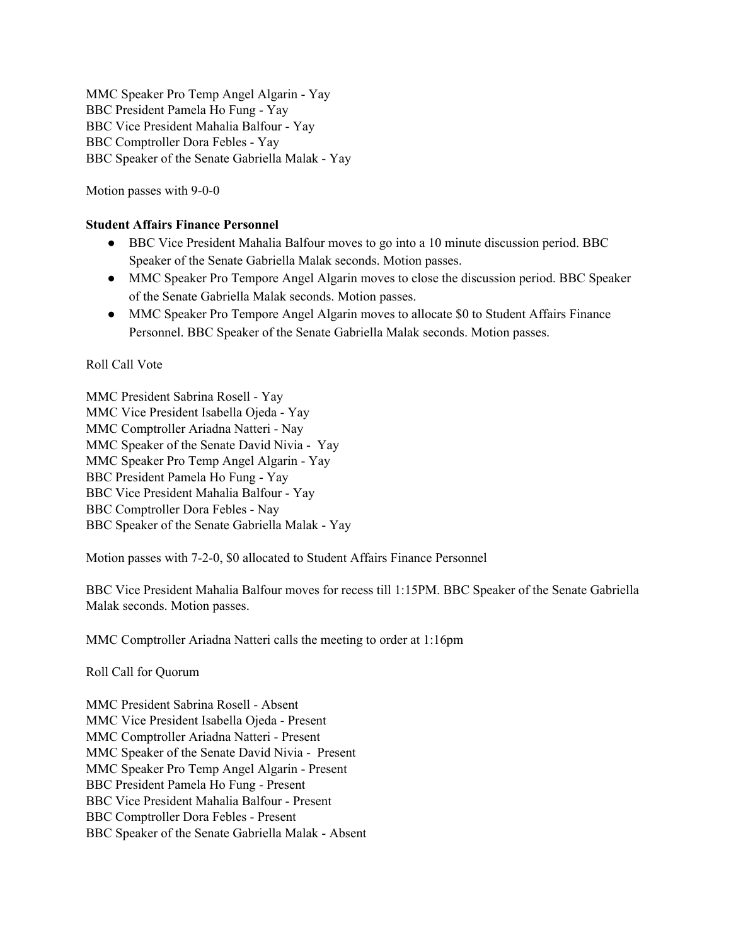MMC Speaker Pro Temp Angel Algarin - Yay BBC President Pamela Ho Fung - Yay BBC Vice President Mahalia Balfour - Yay BBC Comptroller Dora Febles - Yay BBC Speaker of the Senate Gabriella Malak - Yay

Motion passes with 9-0-0

#### **Student Affairs Finance Personnel**

- BBC Vice President Mahalia Balfour moves to go into a 10 minute discussion period. BBC Speaker of the Senate Gabriella Malak seconds. Motion passes.
- MMC Speaker Pro Tempore Angel Algarin moves to close the discussion period. BBC Speaker of the Senate Gabriella Malak seconds. Motion passes.
- MMC Speaker Pro Tempore Angel Algarin moves to allocate \$0 to Student Affairs Finance Personnel. BBC Speaker of the Senate Gabriella Malak seconds. Motion passes.

## Roll Call Vote

MMC President Sabrina Rosell - Yay MMC Vice President Isabella Ojeda - Yay MMC Comptroller Ariadna Natteri - Nay MMC Speaker of the Senate David Nivia - Yay MMC Speaker Pro Temp Angel Algarin - Yay BBC President Pamela Ho Fung - Yay BBC Vice President Mahalia Balfour - Yay BBC Comptroller Dora Febles - Nay BBC Speaker of the Senate Gabriella Malak - Yay

Motion passes with 7-2-0, \$0 allocated to Student Affairs Finance Personnel

BBC Vice President Mahalia Balfour moves for recess till 1:15PM. BBC Speaker of the Senate Gabriella Malak seconds. Motion passes.

MMC Comptroller Ariadna Natteri calls the meeting to order at 1:16pm

Roll Call for Quorum

MMC President Sabrina Rosell - Absent MMC Vice President Isabella Ojeda - Present MMC Comptroller Ariadna Natteri - Present MMC Speaker of the Senate David Nivia - Present MMC Speaker Pro Temp Angel Algarin - Present BBC President Pamela Ho Fung - Present BBC Vice President Mahalia Balfour - Present BBC Comptroller Dora Febles - Present BBC Speaker of the Senate Gabriella Malak - Absent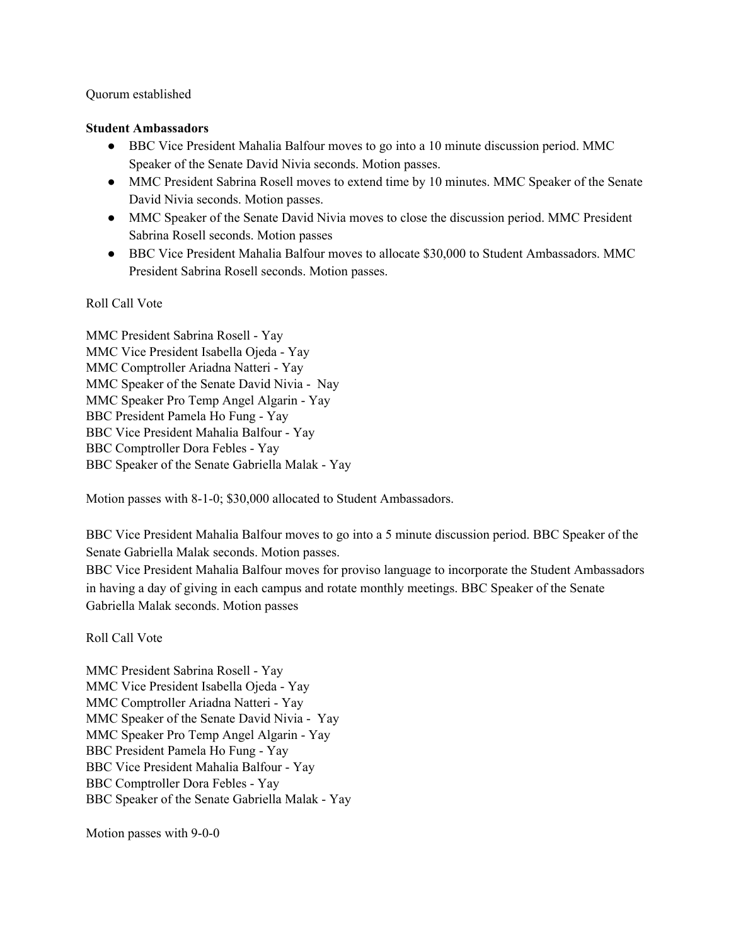#### Quorum established

#### **Student Ambassadors**

- BBC Vice President Mahalia Balfour moves to go into a 10 minute discussion period. MMC Speaker of the Senate David Nivia seconds. Motion passes.
- MMC President Sabrina Rosell moves to extend time by 10 minutes. MMC Speaker of the Senate David Nivia seconds. Motion passes.
- MMC Speaker of the Senate David Nivia moves to close the discussion period. MMC President Sabrina Rosell seconds. Motion passes
- BBC Vice President Mahalia Balfour moves to allocate \$30,000 to Student Ambassadors. MMC President Sabrina Rosell seconds. Motion passes.

#### Roll Call Vote

MMC President Sabrina Rosell - Yay MMC Vice President Isabella Ojeda - Yay MMC Comptroller Ariadna Natteri - Yay MMC Speaker of the Senate David Nivia - Nay MMC Speaker Pro Temp Angel Algarin - Yay BBC President Pamela Ho Fung - Yay BBC Vice President Mahalia Balfour - Yay BBC Comptroller Dora Febles - Yay BBC Speaker of the Senate Gabriella Malak - Yay

Motion passes with 8-1-0; \$30,000 allocated to Student Ambassadors.

BBC Vice President Mahalia Balfour moves to go into a 5 minute discussion period. BBC Speaker of the Senate Gabriella Malak seconds. Motion passes.

BBC Vice President Mahalia Balfour moves for proviso language to incorporate the Student Ambassadors in having a day of giving in each campus and rotate monthly meetings. BBC Speaker of the Senate Gabriella Malak seconds. Motion passes

Roll Call Vote

MMC President Sabrina Rosell - Yay MMC Vice President Isabella Ojeda - Yay MMC Comptroller Ariadna Natteri - Yay MMC Speaker of the Senate David Nivia - Yay MMC Speaker Pro Temp Angel Algarin - Yay BBC President Pamela Ho Fung - Yay BBC Vice President Mahalia Balfour - Yay BBC Comptroller Dora Febles - Yay BBC Speaker of the Senate Gabriella Malak - Yay

Motion passes with 9-0-0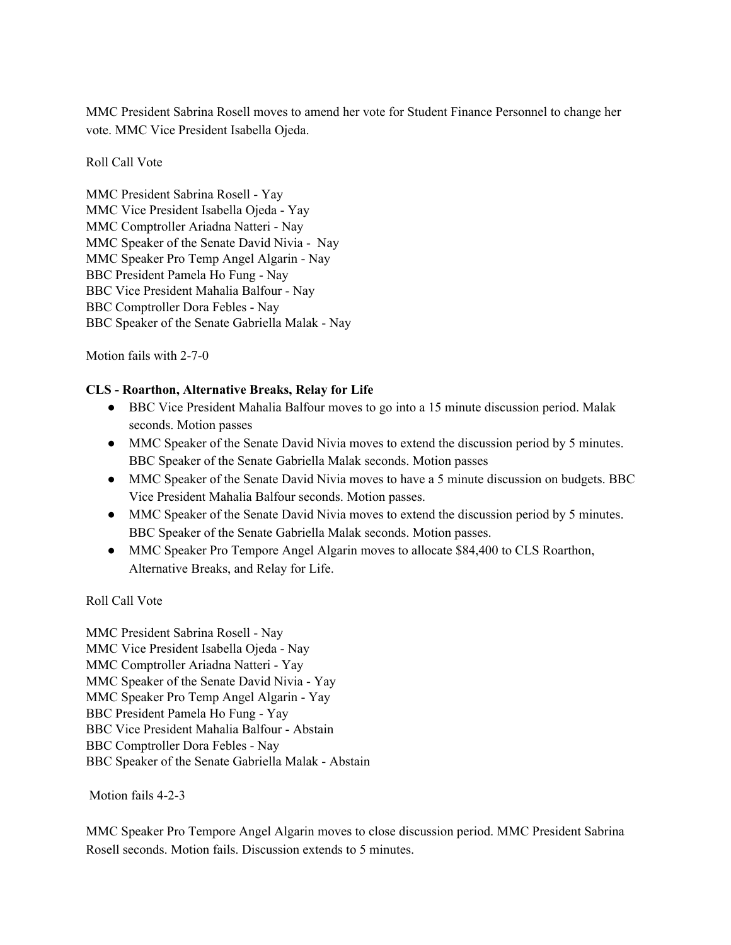MMC President Sabrina Rosell moves to amend her vote for Student Finance Personnel to change her vote. MMC Vice President Isabella Ojeda.

Roll Call Vote

MMC President Sabrina Rosell - Yay MMC Vice President Isabella Ojeda - Yay MMC Comptroller Ariadna Natteri - Nay MMC Speaker of the Senate David Nivia - Nay MMC Speaker Pro Temp Angel Algarin - Nay BBC President Pamela Ho Fung - Nay BBC Vice President Mahalia Balfour - Nay BBC Comptroller Dora Febles - Nay BBC Speaker of the Senate Gabriella Malak - Nay

Motion fails with 2-7-0

## **CLS - Roarthon, Alternative Breaks, Relay for Life**

- BBC Vice President Mahalia Balfour moves to go into a 15 minute discussion period. Malak seconds. Motion passes
- MMC Speaker of the Senate David Nivia moves to extend the discussion period by 5 minutes. BBC Speaker of the Senate Gabriella Malak seconds. Motion passes
- MMC Speaker of the Senate David Nivia moves to have a 5 minute discussion on budgets. BBC Vice President Mahalia Balfour seconds. Motion passes.
- MMC Speaker of the Senate David Nivia moves to extend the discussion period by 5 minutes. BBC Speaker of the Senate Gabriella Malak seconds. Motion passes.
- MMC Speaker Pro Tempore Angel Algarin moves to allocate \$84,400 to CLS Roarthon, Alternative Breaks, and Relay for Life.

Roll Call Vote

MMC President Sabrina Rosell - Nay MMC Vice President Isabella Ojeda - Nay MMC Comptroller Ariadna Natteri - Yay MMC Speaker of the Senate David Nivia - Yay MMC Speaker Pro Temp Angel Algarin - Yay BBC President Pamela Ho Fung - Yay BBC Vice President Mahalia Balfour - Abstain BBC Comptroller Dora Febles - Nay BBC Speaker of the Senate Gabriella Malak - Abstain

Motion fails 4-2-3

MMC Speaker Pro Tempore Angel Algarin moves to close discussion period. MMC President Sabrina Rosell seconds. Motion fails. Discussion extends to 5 minutes.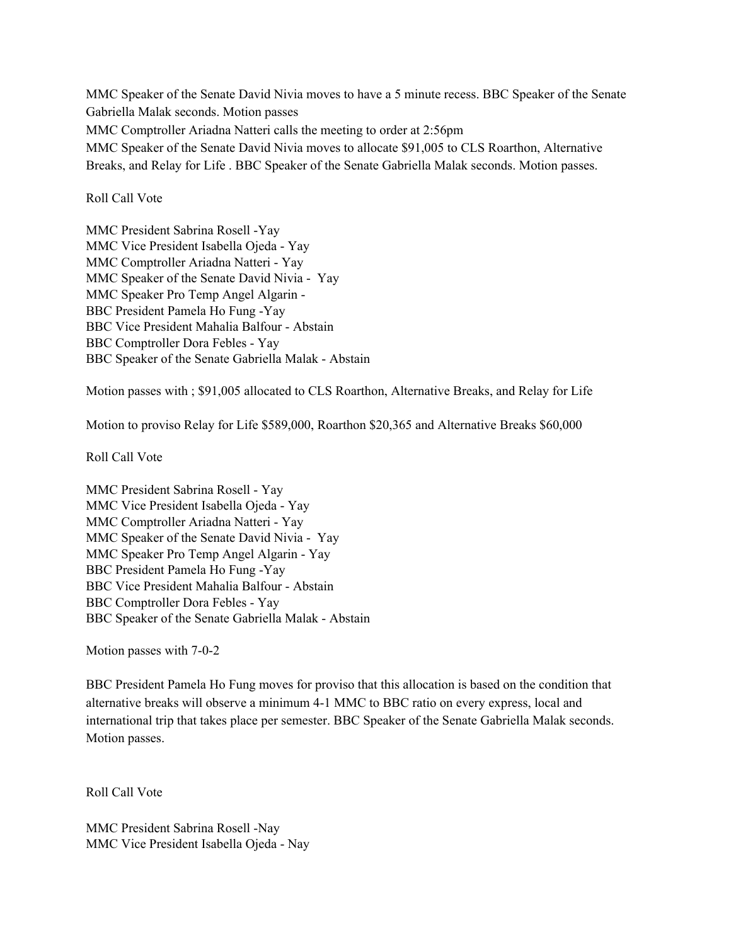MMC Speaker of the Senate David Nivia moves to have a 5 minute recess. BBC Speaker of the Senate Gabriella Malak seconds. Motion passes MMC Comptroller Ariadna Natteri calls the meeting to order at 2:56pm MMC Speaker of the Senate David Nivia moves to allocate \$91,005 to CLS Roarthon, Alternative Breaks, and Relay for Life . BBC Speaker of the Senate Gabriella Malak seconds. Motion passes.

#### Roll Call Vote

MMC President Sabrina Rosell -Yay MMC Vice President Isabella Ojeda - Yay MMC Comptroller Ariadna Natteri - Yay MMC Speaker of the Senate David Nivia - Yay MMC Speaker Pro Temp Angel Algarin - BBC President Pamela Ho Fung -Yay BBC Vice President Mahalia Balfour - Abstain BBC Comptroller Dora Febles - Yay BBC Speaker of the Senate Gabriella Malak - Abstain

Motion passes with ; \$91,005 allocated to CLS Roarthon, Alternative Breaks, and Relay for Life

Motion to proviso Relay for Life \$589,000, Roarthon \$20,365 and Alternative Breaks \$60,000

Roll Call Vote

MMC President Sabrina Rosell - Yay MMC Vice President Isabella Ojeda - Yay MMC Comptroller Ariadna Natteri - Yay MMC Speaker of the Senate David Nivia - Yay MMC Speaker Pro Temp Angel Algarin - Yay BBC President Pamela Ho Fung -Yay BBC Vice President Mahalia Balfour - Abstain BBC Comptroller Dora Febles - Yay BBC Speaker of the Senate Gabriella Malak - Abstain

Motion passes with 7-0-2

BBC President Pamela Ho Fung moves for proviso that this allocation is based on the condition that alternative breaks will observe a minimum 4-1 MMC to BBC ratio on every express, local and international trip that takes place per semester. BBC Speaker of the Senate Gabriella Malak seconds. Motion passes.

Roll Call Vote

MMC President Sabrina Rosell -Nay MMC Vice President Isabella Ojeda - Nay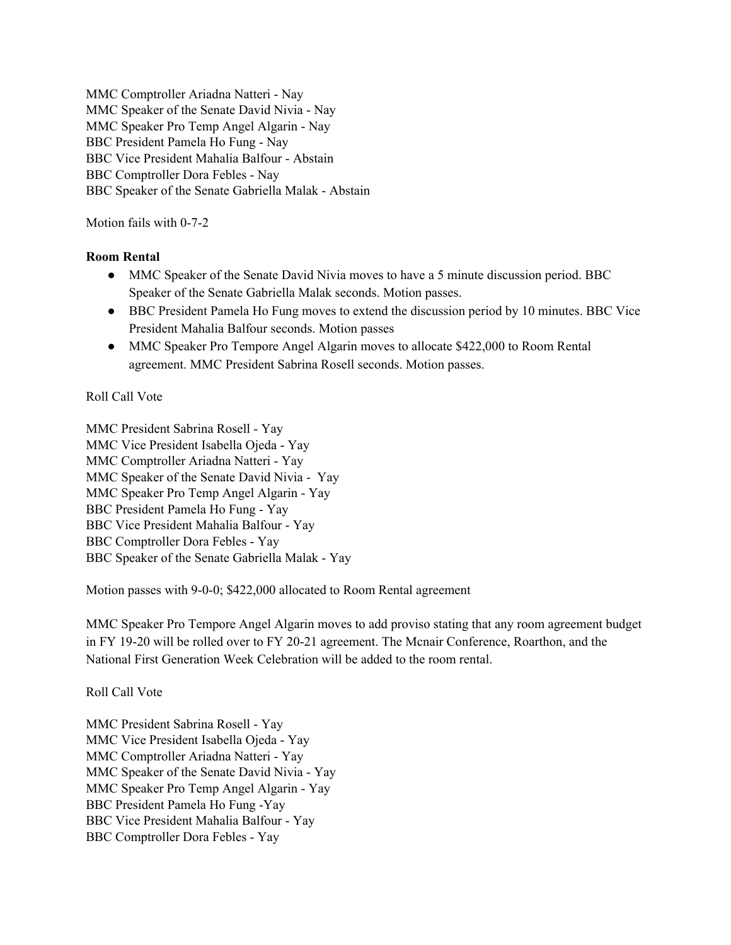MMC Comptroller Ariadna Natteri - Nay MMC Speaker of the Senate David Nivia - Nay MMC Speaker Pro Temp Angel Algarin - Nay BBC President Pamela Ho Fung - Nay BBC Vice President Mahalia Balfour - Abstain BBC Comptroller Dora Febles - Nay BBC Speaker of the Senate Gabriella Malak - Abstain

Motion fails with 0-7-2

## **Room Rental**

- MMC Speaker of the Senate David Nivia moves to have a 5 minute discussion period. BBC Speaker of the Senate Gabriella Malak seconds. Motion passes.
- BBC President Pamela Ho Fung moves to extend the discussion period by 10 minutes. BBC Vice President Mahalia Balfour seconds. Motion passes
- MMC Speaker Pro Tempore Angel Algarin moves to allocate \$422,000 to Room Rental agreement. MMC President Sabrina Rosell seconds. Motion passes.

#### Roll Call Vote

MMC President Sabrina Rosell - Yay MMC Vice President Isabella Ojeda - Yay MMC Comptroller Ariadna Natteri - Yay MMC Speaker of the Senate David Nivia - Yay MMC Speaker Pro Temp Angel Algarin - Yay BBC President Pamela Ho Fung - Yay BBC Vice President Mahalia Balfour - Yay BBC Comptroller Dora Febles - Yay BBC Speaker of the Senate Gabriella Malak - Yay

Motion passes with 9-0-0; \$422,000 allocated to Room Rental agreement

MMC Speaker Pro Tempore Angel Algarin moves to add proviso stating that any room agreement budget in FY 19-20 will be rolled over to FY 20-21 agreement. The Mcnair Conference, Roarthon, and the National First Generation Week Celebration will be added to the room rental.

## Roll Call Vote

MMC President Sabrina Rosell - Yay MMC Vice President Isabella Ojeda - Yay MMC Comptroller Ariadna Natteri - Yay MMC Speaker of the Senate David Nivia - Yay MMC Speaker Pro Temp Angel Algarin - Yay BBC President Pamela Ho Fung -Yay BBC Vice President Mahalia Balfour - Yay BBC Comptroller Dora Febles - Yay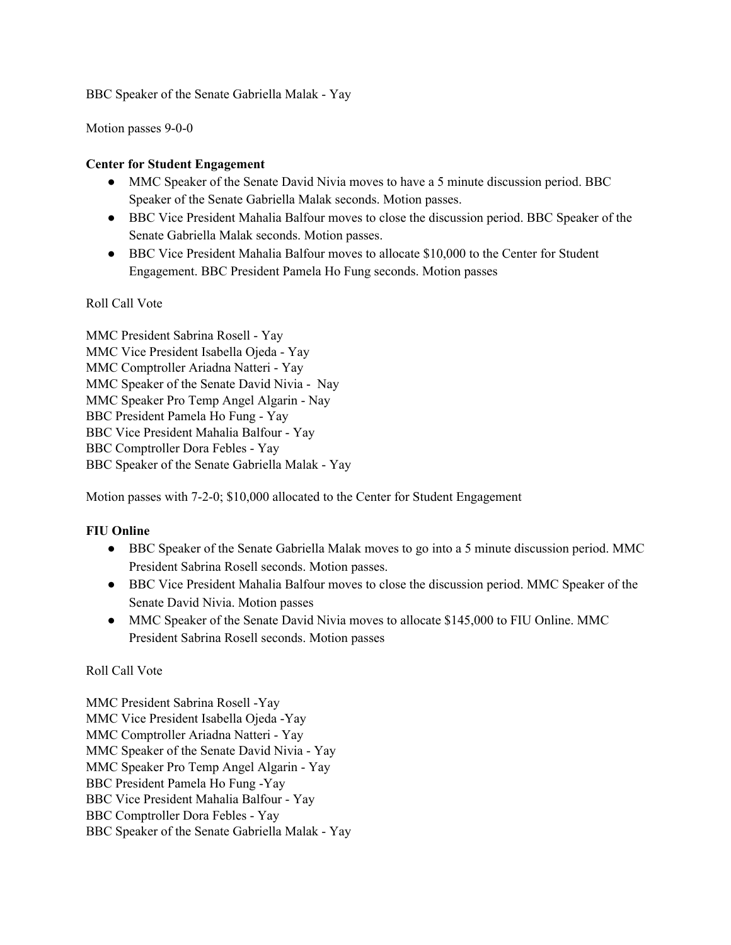BBC Speaker of the Senate Gabriella Malak - Yay

Motion passes 9-0-0

## **Center for Student Engagement**

- MMC Speaker of the Senate David Nivia moves to have a 5 minute discussion period. BBC Speaker of the Senate Gabriella Malak seconds. Motion passes.
- BBC Vice President Mahalia Balfour moves to close the discussion period. BBC Speaker of the Senate Gabriella Malak seconds. Motion passes.
- BBC Vice President Mahalia Balfour moves to allocate \$10,000 to the Center for Student Engagement. BBC President Pamela Ho Fung seconds. Motion passes

Roll Call Vote

MMC President Sabrina Rosell - Yay MMC Vice President Isabella Ojeda - Yay MMC Comptroller Ariadna Natteri - Yay MMC Speaker of the Senate David Nivia - Nay MMC Speaker Pro Temp Angel Algarin - Nay BBC President Pamela Ho Fung - Yay BBC Vice President Mahalia Balfour - Yay BBC Comptroller Dora Febles - Yay BBC Speaker of the Senate Gabriella Malak - Yay

Motion passes with 7-2-0; \$10,000 allocated to the Center for Student Engagement

# **FIU Online**

- BBC Speaker of the Senate Gabriella Malak moves to go into a 5 minute discussion period. MMC President Sabrina Rosell seconds. Motion passes.
- BBC Vice President Mahalia Balfour moves to close the discussion period. MMC Speaker of the Senate David Nivia. Motion passes
- MMC Speaker of the Senate David Nivia moves to allocate \$145,000 to FIU Online. MMC President Sabrina Rosell seconds. Motion passes

Roll Call Vote

MMC President Sabrina Rosell -Yay MMC Vice President Isabella Ojeda -Yay MMC Comptroller Ariadna Natteri - Yay MMC Speaker of the Senate David Nivia - Yay MMC Speaker Pro Temp Angel Algarin - Yay BBC President Pamela Ho Fung -Yay BBC Vice President Mahalia Balfour - Yay BBC Comptroller Dora Febles - Yay BBC Speaker of the Senate Gabriella Malak - Yay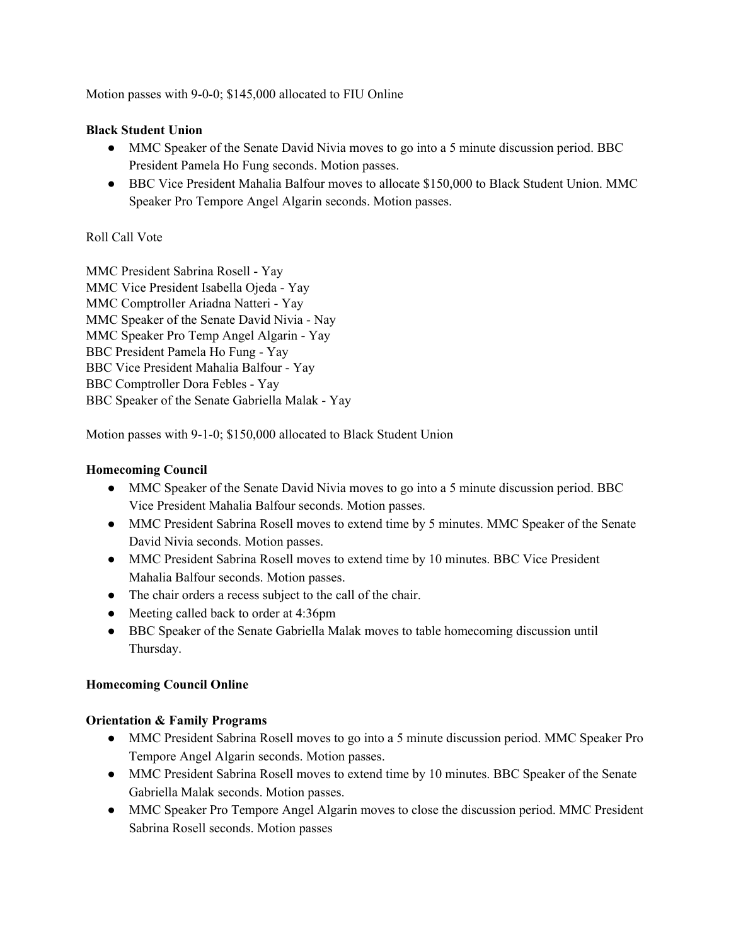Motion passes with 9-0-0; \$145,000 allocated to FIU Online

#### **Black Student Union**

- MMC Speaker of the Senate David Nivia moves to go into a 5 minute discussion period. BBC President Pamela Ho Fung seconds. Motion passes.
- BBC Vice President Mahalia Balfour moves to allocate \$150,000 to Black Student Union. MMC Speaker Pro Tempore Angel Algarin seconds. Motion passes.

#### Roll Call Vote

MMC President Sabrina Rosell - Yay MMC Vice President Isabella Ojeda - Yay MMC Comptroller Ariadna Natteri - Yay MMC Speaker of the Senate David Nivia - Nay MMC Speaker Pro Temp Angel Algarin - Yay BBC President Pamela Ho Fung - Yay BBC Vice President Mahalia Balfour - Yay BBC Comptroller Dora Febles - Yay BBC Speaker of the Senate Gabriella Malak - Yay

Motion passes with 9-1-0; \$150,000 allocated to Black Student Union

#### **Homecoming Council**

- MMC Speaker of the Senate David Nivia moves to go into a 5 minute discussion period. BBC Vice President Mahalia Balfour seconds. Motion passes.
- MMC President Sabrina Rosell moves to extend time by 5 minutes. MMC Speaker of the Senate David Nivia seconds. Motion passes.
- MMC President Sabrina Rosell moves to extend time by 10 minutes. BBC Vice President Mahalia Balfour seconds. Motion passes.
- The chair orders a recess subject to the call of the chair.
- Meeting called back to order at 4:36pm
- BBC Speaker of the Senate Gabriella Malak moves to table homecoming discussion until Thursday.

## **Homecoming Council Online**

#### **Orientation & Family Programs**

- MMC President Sabrina Rosell moves to go into a 5 minute discussion period. MMC Speaker Pro Tempore Angel Algarin seconds. Motion passes.
- MMC President Sabrina Rosell moves to extend time by 10 minutes. BBC Speaker of the Senate Gabriella Malak seconds. Motion passes.
- MMC Speaker Pro Tempore Angel Algarin moves to close the discussion period. MMC President Sabrina Rosell seconds. Motion passes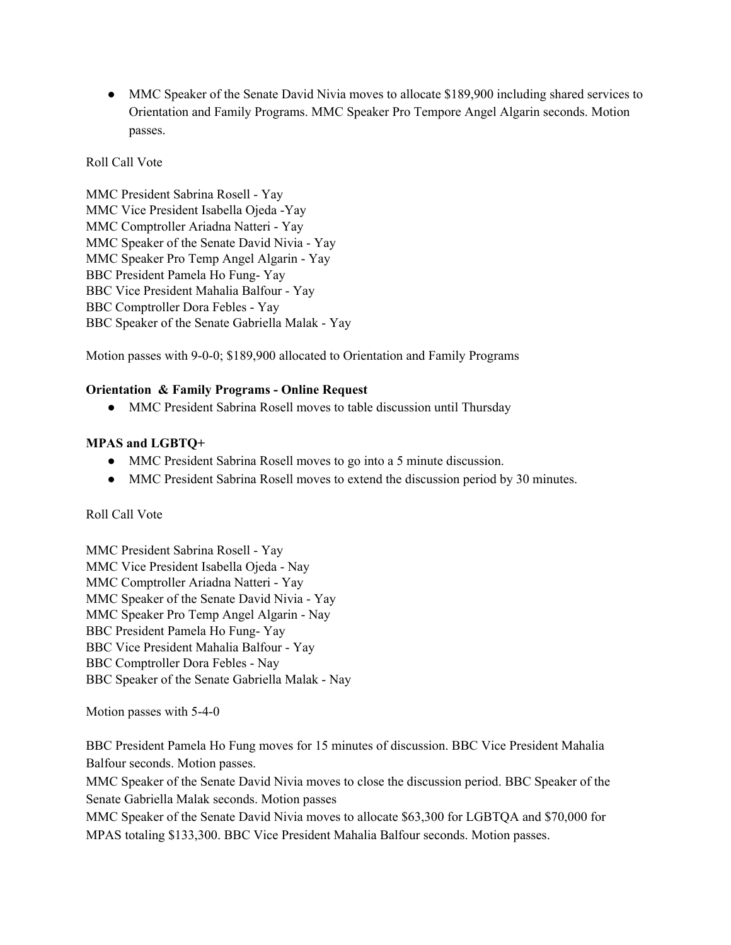• MMC Speaker of the Senate David Nivia moves to allocate \$189,900 including shared services to Orientation and Family Programs. MMC Speaker Pro Tempore Angel Algarin seconds. Motion passes.

Roll Call Vote

MMC President Sabrina Rosell - Yay MMC Vice President Isabella Ojeda -Yay MMC Comptroller Ariadna Natteri - Yay MMC Speaker of the Senate David Nivia - Yay MMC Speaker Pro Temp Angel Algarin - Yay BBC President Pamela Ho Fung- Yay BBC Vice President Mahalia Balfour - Yay BBC Comptroller Dora Febles - Yay BBC Speaker of the Senate Gabriella Malak - Yay

Motion passes with 9-0-0; \$189,900 allocated to Orientation and Family Programs

#### **Orientation & Family Programs - Online Request**

• MMC President Sabrina Rosell moves to table discussion until Thursday

## **MPAS and LGBTQ+**

- MMC President Sabrina Rosell moves to go into a 5 minute discussion.
- MMC President Sabrina Rosell moves to extend the discussion period by 30 minutes.

Roll Call Vote

MMC President Sabrina Rosell - Yay MMC Vice President Isabella Ojeda - Nay MMC Comptroller Ariadna Natteri - Yay MMC Speaker of the Senate David Nivia - Yay MMC Speaker Pro Temp Angel Algarin - Nay BBC President Pamela Ho Fung- Yay BBC Vice President Mahalia Balfour - Yay BBC Comptroller Dora Febles - Nay BBC Speaker of the Senate Gabriella Malak - Nay

Motion passes with 5-4-0

BBC President Pamela Ho Fung moves for 15 minutes of discussion. BBC Vice President Mahalia Balfour seconds. Motion passes.

MMC Speaker of the Senate David Nivia moves to close the discussion period. BBC Speaker of the Senate Gabriella Malak seconds. Motion passes

MMC Speaker of the Senate David Nivia moves to allocate \$63,300 for LGBTQA and \$70,000 for MPAS totaling \$133,300. BBC Vice President Mahalia Balfour seconds. Motion passes.